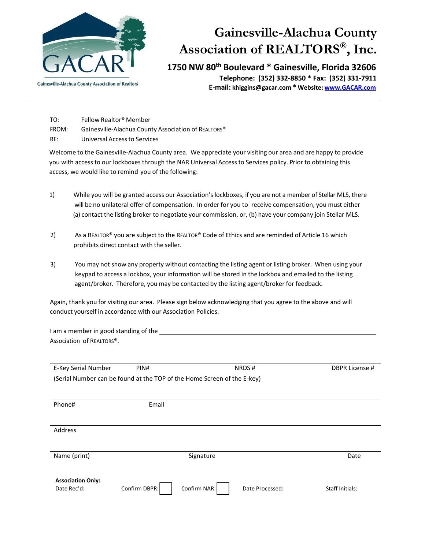

# **Gainesville-Alachua County Association of REALTORS®, Inc.**

**1750 NW 80th Boulevard \* Gainesville, Florida 32606**

**Telephone: (352) 332-8850 \* Fax: (352) 331-7911 E-mail[: khiggins@gacar.com](mailto:lgurske@gacar.com) \* Website[: www.GACAR.com](http://www.gacar.com/)**

- TO: Fellow Realtor® Member
- FROM: Gainesville-Alachua County Association of REALTORS®
- RE: Universal Access to Services

Welcome to the Gainesville-Alachua County area. We appreciate your visiting our area and are happy to provide you with access to our lockboxes through the NAR Universal Access to Services policy. Prior to obtaining this access, we would like to remind you of the following:

- 1) While you will be granted access our Association's lockboxes, if you are not a member of Stellar MLS, there will be no unilateral offer of compensation. In order for you to receive compensation, you must either (a) contact the listing broker to negotiate your commission, or, (b) have your company join Stellar MLS.
- 2) As a REALTOR® you are subject to the REALTOR® Code of Ethics and are reminded of Article 16 which prohibits direct contact with the seller.
- 3) You may not show any property without contacting the listing agent or listing broker. When using your keypad to access a lockbox, your information will be stored in the lockbox and emailed to the listing agent/broker. Therefore, you may be contacted by the listing agent/broker for feedback.

Again, thank you for visiting our area. Please sign below acknowledging that you agree to the above and will conduct yourself in accordance with our Association Policies.

I am a member in good standing of the Association of REALTORS®.

| E-Key Serial Number                                                     | PIN#          |              | NRDS#           | DBPR License #         |
|-------------------------------------------------------------------------|---------------|--------------|-----------------|------------------------|
| (Serial Number can be found at the TOP of the Home Screen of the E-key) |               |              |                 |                        |
|                                                                         |               |              |                 |                        |
| Phone#                                                                  | Email         |              |                 |                        |
|                                                                         |               |              |                 |                        |
|                                                                         |               |              |                 |                        |
| Address                                                                 |               |              |                 |                        |
|                                                                         |               |              |                 |                        |
| Name (print)                                                            |               | Signature    |                 | Date                   |
|                                                                         |               |              |                 |                        |
|                                                                         |               |              |                 |                        |
| <b>Association Only:</b>                                                |               |              |                 |                        |
| Date Rec'd:                                                             | Confirm DBPR: | Confirm NAR: | Date Processed: | <b>Staff Initials:</b> |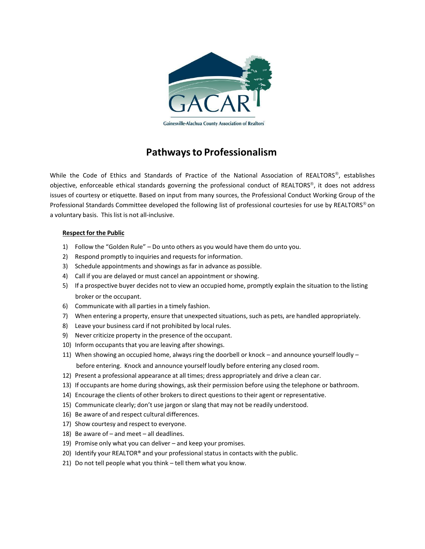

# **Pathways to Professionalism**

While the Code of Ethics and Standards of Practice of the National Association of REALTORS®, establishes objective, enforceable ethical standards governing the professional conduct of REALTORS®, it does not address issues of courtesy or etiquette. Based on input from many sources, the Professional Conduct Working Group of the Professional Standards Committee developed the following list of professional courtesies for use by REALTORS® on a voluntary basis. This list is not all-inclusive.

## **Respect for the Public**

- 1) Follow the "Golden Rule" Do unto others as you would have them do unto you.
- 2) Respond promptly to inquiries and requests for information.
- 3) Schedule appointments and showings as far in advance as possible.
- 4) Call if you are delayed or must cancel an appointment or showing.
- 5) If a prospective buyer decides not to view an occupied home, promptly explain the situation to the listing broker or the occupant.
- 6) Communicate with all parties in a timely fashion.
- 7) When entering a property, ensure that unexpected situations, such as pets, are handled appropriately.
- 8) Leave your business card if not prohibited by local rules.
- 9) Never criticize property in the presence of the occupant.
- 10) Inform occupants that you are leaving after showings.
- 11) When showing an occupied home, always ring the doorbell or knock and announce yourself loudly before entering. Knock and announce yourself loudly before entering any closed room.
- 12) Present a professional appearance at all times; dress appropriately and drive a clean car.
- 13) If occupants are home during showings, ask their permission before using the telephone or bathroom.
- 14) Encourage the clients of other brokers to direct questions to their agent or representative.
- 15) Communicate clearly; don't use jargon or slang that may not be readily understood.
- 16) Be aware of and respect cultural differences.
- 17) Show courtesy and respect to everyone.
- 18) Be aware of and meet all deadlines.
- 19) Promise only what you can deliver and keep your promises.
- 20) Identify your REALTOR® and your professional status in contacts with the public.
- 21) Do not tell people what you think tell them what you know.